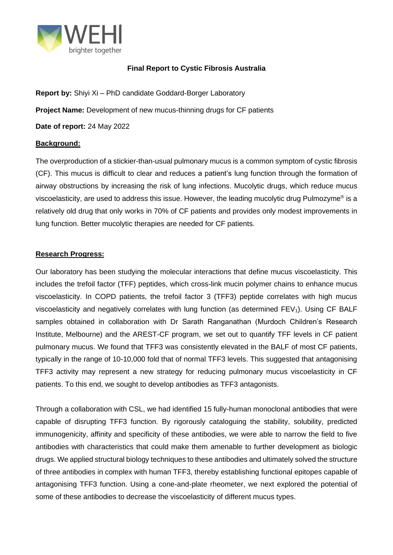

## **Final Report to Cystic Fibrosis Australia**

**Report by:** Shiyi Xi – PhD candidate Goddard-Borger Laboratory **Project Name:** Development of new mucus-thinning drugs for CF patients **Date of report:** 24 May 2022

## **Background:**

The overproduction of a stickier-than-usual pulmonary mucus is a common symptom of cystic fibrosis (CF). This mucus is difficult to clear and reduces a patient's lung function through the formation of airway obstructions by increasing the risk of lung infections. Mucolytic drugs, which reduce mucus viscoelasticity, are used to address this issue. However, the leading mucolytic drug Pulmozyme® is a relatively old drug that only works in 70% of CF patients and provides only modest improvements in lung function. Better mucolytic therapies are needed for CF patients.

## **Research Progress:**

Our laboratory has been studying the molecular interactions that define mucus viscoelasticity. This includes the trefoil factor (TFF) peptides, which cross-link mucin polymer chains to enhance mucus viscoelasticity. In COPD patients, the trefoil factor 3 (TFF3) peptide correlates with high mucus viscoelasticity and negatively correlates with lung function (as determined  $FEV<sub>1</sub>$ ). Using CF BALF samples obtained in collaboration with Dr Sarath Ranganathan (Murdoch Children's Research Institute, Melbourne) and the AREST-CF program, we set out to quantify TFF levels in CF patient pulmonary mucus. We found that TFF3 was consistently elevated in the BALF of most CF patients, typically in the range of 10-10,000 fold that of normal TFF3 levels. This suggested that antagonising TFF3 activity may represent a new strategy for reducing pulmonary mucus viscoelasticity in CF patients. To this end, we sought to develop antibodies as TFF3 antagonists.

Through a collaboration with CSL, we had identified 15 fully-human monoclonal antibodies that were capable of disrupting TFF3 function. By rigorously cataloguing the stability, solubility, predicted immunogenicity, affinity and specificity of these antibodies, we were able to narrow the field to five antibodies with characteristics that could make them amenable to further development as biologic drugs. We applied structural biology techniques to these antibodies and ultimately solved the structure of three antibodies in complex with human TFF3, thereby establishing functional epitopes capable of antagonising TFF3 function. Using a cone-and-plate rheometer, we next explored the potential of some of these antibodies to decrease the viscoelasticity of different mucus types.